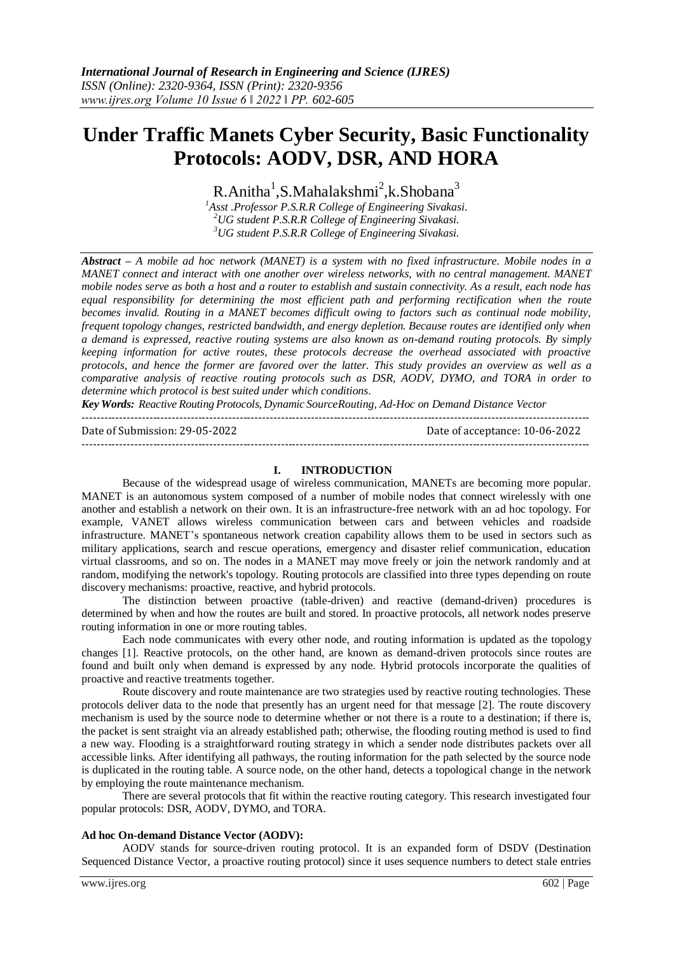# **Under Traffic Manets Cyber Security, Basic Functionality Protocols: AODV, DSR, AND HORA**

 $R$ .Anitha<sup>1</sup>,S.Mahalakshmi<sup>2</sup>,k.Shobana<sup>3</sup>

*<sup>1</sup>Asst .Professor P.S.R.R College of Engineering Sivakasi. <sup>2</sup>UG student P.S.R.R College of Engineering Sivakasi. <sup>3</sup>UG student P.S.R.R College of Engineering Sivakasi.*

*Abstract – A mobile ad hoc network (MANET) is a system with no fixed infrastructure. Mobile nodes in a MANET connect and interact with one another over wireless networks, with no central management. MANET mobile nodes serve as both a host and a router to establish and sustain connectivity. As a result, each node has equal responsibility for determining the most efficient path and performing rectification when the route becomes invalid. Routing in a MANET becomes difficult owing to factors such as continual node mobility, frequent topology changes, restricted bandwidth, and energy depletion. Because routes are identified only when a demand is expressed, reactive routing systems are also known as on-demand routing protocols. By simply keeping information for active routes, these protocols decrease the overhead associated with proactive protocols, and hence the former are favored over the latter. This study provides an overview as well as a comparative analysis of reactive routing protocols such as DSR, AODV, DYMO, and TORA in order to determine which protocol is best suited under which conditions.*

*Key Words: Reactive Routing Protocols, Dynamic SourceRouting, Ad-Hoc on Demand Distance Vector* ---------------------------------------------------------------------------------------------------------------------------------------

Date of Submission: 29-05-2022 Date of acceptance: 10-06-2022

#### **I. INTRODUCTION**

Because of the widespread usage of wireless communication, MANETs are becoming more popular. MANET is an autonomous system composed of a number of mobile nodes that connect wirelessly with one another and establish a network on their own. It is an infrastructure-free network with an ad hoc topology. For example, VANET allows wireless communication between cars and between vehicles and roadside infrastructure. MANET's spontaneous network creation capability allows them to be used in sectors such as military applications, search and rescue operations, emergency and disaster relief communication, education virtual classrooms, and so on. The nodes in a MANET may move freely or join the network randomly and at random, modifying the network's topology. Routing protocols are classified into three types depending on route discovery mechanisms: proactive, reactive, and hybrid protocols.

The distinction between proactive (table-driven) and reactive (demand-driven) procedures is determined by when and how the routes are built and stored. In proactive protocols, all network nodes preserve routing information in one or more routing tables.

Each node communicates with every other node, and routing information is updated as the topology changes [1]. Reactive protocols, on the other hand, are known as demand-driven protocols since routes are found and built only when demand is expressed by any node. Hybrid protocols incorporate the qualities of proactive and reactive treatments together.

Route discovery and route maintenance are two strategies used by reactive routing technologies. These protocols deliver data to the node that presently has an urgent need for that message [2]. The route discovery mechanism is used by the source node to determine whether or not there is a route to a destination; if there is, the packet is sent straight via an already established path; otherwise, the flooding routing method is used to find a new way. Flooding is a straightforward routing strategy in which a sender node distributes packets over all accessible links. After identifying all pathways, the routing information for the path selected by the source node is duplicated in the routing table. A source node, on the other hand, detects a topological change in the network by employing the route maintenance mechanism.

There are several protocols that fit within the reactive routing category. This research investigated four popular protocols: DSR, AODV, DYMO, and TORA.

#### **Ad hoc On-demand Distance Vector (AODV):**

AODV stands for source-driven routing protocol. It is an expanded form of DSDV (Destination Sequenced Distance Vector, a proactive routing protocol) since it uses sequence numbers to detect stale entries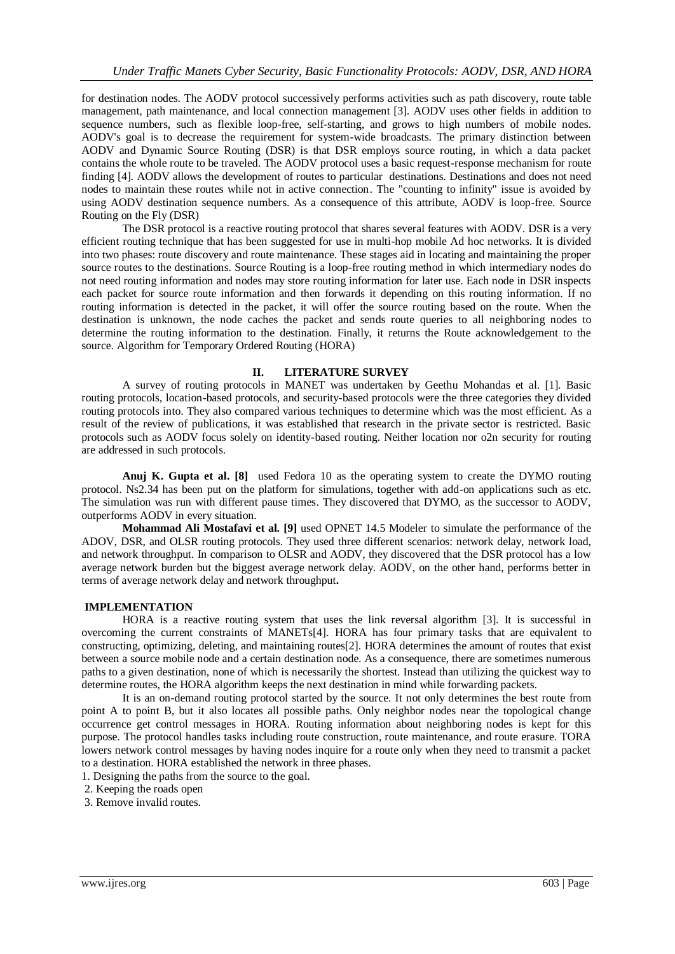for destination nodes. The AODV protocol successively performs activities such as path discovery, route table management, path maintenance, and local connection management [3]. AODV uses other fields in addition to sequence numbers, such as flexible loop-free, self-starting, and grows to high numbers of mobile nodes. AODV's goal is to decrease the requirement for system-wide broadcasts. The primary distinction between AODV and Dynamic Source Routing (DSR) is that DSR employs source routing, in which a data packet contains the whole route to be traveled. The AODV protocol uses a basic request-response mechanism for route finding [4]. AODV allows the development of routes to particular destinations. Destinations and does not need nodes to maintain these routes while not in active connection. The "counting to infinity" issue is avoided by using AODV destination sequence numbers. As a consequence of this attribute, AODV is loop-free. Source Routing on the Fly (DSR)

The DSR protocol is a reactive routing protocol that shares several features with AODV. DSR is a very efficient routing technique that has been suggested for use in multi-hop mobile Ad hoc networks. It is divided into two phases: route discovery and route maintenance. These stages aid in locating and maintaining the proper source routes to the destinations. Source Routing is a loop-free routing method in which intermediary nodes do not need routing information and nodes may store routing information for later use. Each node in DSR inspects each packet for source route information and then forwards it depending on this routing information. If no routing information is detected in the packet, it will offer the source routing based on the route. When the destination is unknown, the node caches the packet and sends route queries to all neighboring nodes to determine the routing information to the destination. Finally, it returns the Route acknowledgement to the source. Algorithm for Temporary Ordered Routing (HORA)

# **II. LITERATURE SURVEY**

A survey of routing protocols in MANET was undertaken by Geethu Mohandas et al. [1]. Basic routing protocols, location-based protocols, and security-based protocols were the three categories they divided routing protocols into. They also compared various techniques to determine which was the most efficient. As a result of the review of publications, it was established that research in the private sector is restricted. Basic protocols such as AODV focus solely on identity-based routing. Neither location nor o2n security for routing are addressed in such protocols.

**Anuj K. Gupta et al. [8]** used Fedora 10 as the operating system to create the DYMO routing protocol. Ns2.34 has been put on the platform for simulations, together with add-on applications such as etc. The simulation was run with different pause times. They discovered that DYMO, as the successor to AODV, outperforms AODV in every situation.

**Mohammad Ali Mostafavi et al. [9]** used OPNET 14.5 Modeler to simulate the performance of the ADOV, DSR, and OLSR routing protocols. They used three different scenarios: network delay, network load, and network throughput. In comparison to OLSR and AODV, they discovered that the DSR protocol has a low average network burden but the biggest average network delay. AODV, on the other hand, performs better in terms of average network delay and network throughput**.**

#### **IMPLEMENTATION**

HORA is a reactive routing system that uses the link reversal algorithm [3]. It is successful in overcoming the current constraints of MANETs[4]. HORA has four primary tasks that are equivalent to constructing, optimizing, deleting, and maintaining routes[2]. HORA determines the amount of routes that exist between a source mobile node and a certain destination node. As a consequence, there are sometimes numerous paths to a given destination, none of which is necessarily the shortest. Instead than utilizing the quickest way to determine routes, the HORA algorithm keeps the next destination in mind while forwarding packets.

It is an on-demand routing protocol started by the source. It not only determines the best route from point A to point B, but it also locates all possible paths. Only neighbor nodes near the topological change occurrence get control messages in HORA. Routing information about neighboring nodes is kept for this purpose. The protocol handles tasks including route construction, route maintenance, and route erasure. TORA lowers network control messages by having nodes inquire for a route only when they need to transmit a packet to a destination. HORA established the network in three phases.

1. Designing the paths from the source to the goal.

2. Keeping the roads open

3. Remove invalid routes.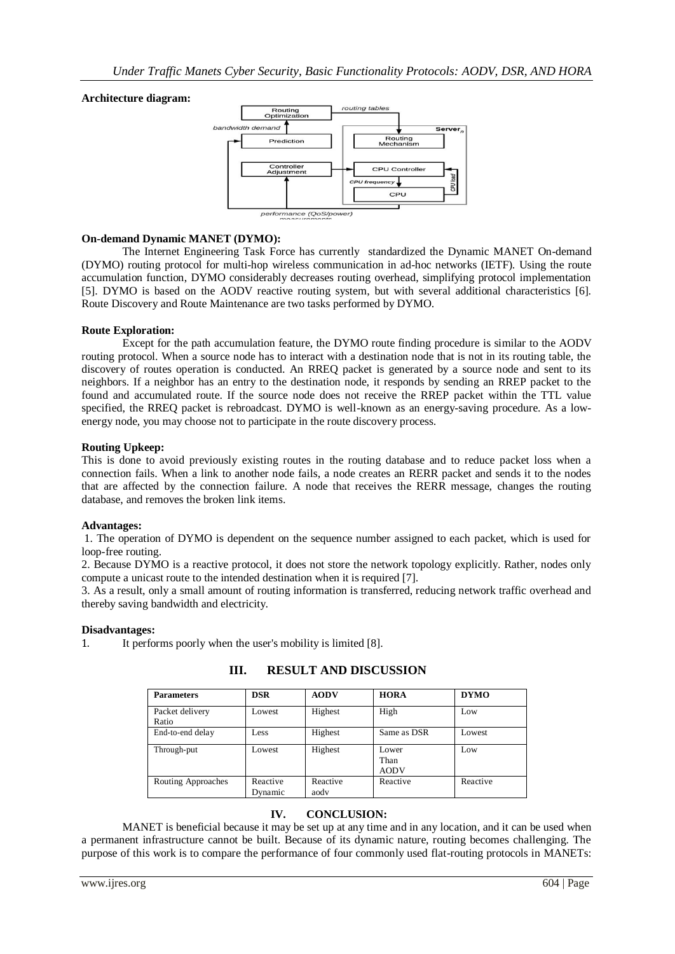# **Architecture diagram:**



# **On-demand Dynamic MANET (DYMO):**

The Internet Engineering Task Force has currently standardized the Dynamic MANET On-demand (DYMO) routing protocol for multi-hop wireless communication in ad-hoc networks (IETF). Using the route accumulation function, DYMO considerably decreases routing overhead, simplifying protocol implementation [5]. DYMO is based on the AODV reactive routing system, but with several additional characteristics [6]. Route Discovery and Route Maintenance are two tasks performed by DYMO.

#### **Route Exploration:**

Except for the path accumulation feature, the DYMO route finding procedure is similar to the AODV routing protocol. When a source node has to interact with a destination node that is not in its routing table, the discovery of routes operation is conducted. An RREQ packet is generated by a source node and sent to its neighbors. If a neighbor has an entry to the destination node, it responds by sending an RREP packet to the found and accumulated route. If the source node does not receive the RREP packet within the TTL value specified, the RREQ packet is rebroadcast. DYMO is well-known as an energy-saving procedure. As a lowenergy node, you may choose not to participate in the route discovery process.

#### **Routing Upkeep:**

This is done to avoid previously existing routes in the routing database and to reduce packet loss when a connection fails. When a link to another node fails, a node creates an RERR packet and sends it to the nodes that are affected by the connection failure. A node that receives the RERR message, changes the routing database, and removes the broken link items.

#### **Advantages:**

1. The operation of DYMO is dependent on the sequence number assigned to each packet, which is used for loop-free routing.

2. Because DYMO is a reactive protocol, it does not store the network topology explicitly. Rather, nodes only compute a unicast route to the intended destination when it is required [7].

3. As a result, only a small amount of routing information is transferred, reducing network traffic overhead and thereby saving bandwidth and electricity.

#### **Disadvantages:**

1. It performs poorly when the user's mobility is limited [8].

| <b>Parameters</b>        | <b>DSR</b>          | <b>AODV</b>      | <b>HORA</b>                  | <b>DYMO</b> |
|--------------------------|---------------------|------------------|------------------------------|-------------|
| Packet delivery<br>Ratio | Lowest              | Highest          | High                         | Low         |
| End-to-end delay         | Less                | Highest          | Same as DSR                  | Lowest      |
| Through-put              | Lowest              | Highest          | Lower<br>Than<br><b>AODV</b> | Low         |
| Routing Approaches       | Reactive<br>Dynamic | Reactive<br>aodv | Reactive                     | Reactive    |

# **III. RESULT AND DISCUSSION**

# **IV. CONCLUSION:**

MANET is beneficial because it may be set up at any time and in any location, and it can be used when a permanent infrastructure cannot be built. Because of its dynamic nature, routing becomes challenging. The purpose of this work is to compare the performance of four commonly used flat-routing protocols in MANETs: